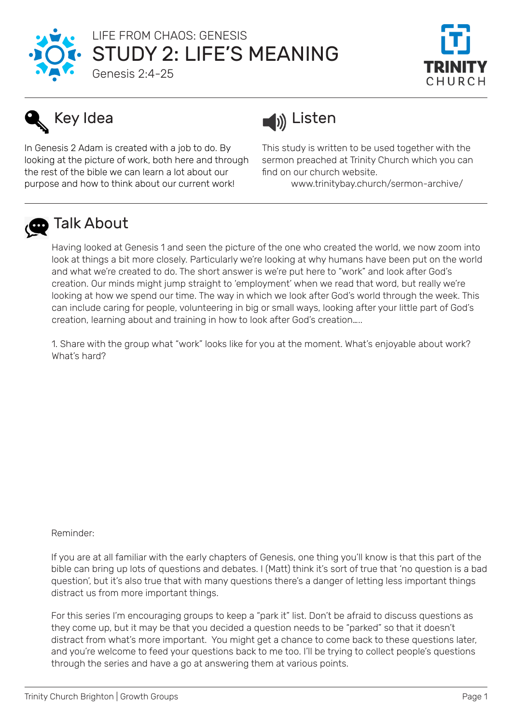

## STUDY 2: LIFE'S MEANING LIFE FROM CHAOS: GENESIS



### Genesis 2:4-25

# Key Idea

In Genesis 2 Adam is created with a job to do. By looking at the picture of work, both here and through the rest of the bible we can learn a lot about our purpose and how to think about our current work!



This study is written to be used together with the sermon preached at Trinity Church which you can find on our church website.

www.trinitybay.church/sermon-archive/



### **D** Talk About

Having looked at Genesis 1 and seen the picture of the one who created the world, we now zoom into look at things a bit more closely. Particularly we're looking at why humans have been put on the world and what we're created to do. The short answer is we're put here to "work" and look after God's creation. Our minds might jump straight to 'employment' when we read that word, but really we're looking at how we spend our time. The way in which we look after God's world through the week. This can include caring for people, volunteering in big or small ways, looking after your little part of God's creation, learning about and training in how to look after God's creation…..

1. Share with the group what "work" looks like for you at the moment. What's enjoyable about work? What's hard?

#### Reminder:

If you are at all familiar with the early chapters of Genesis, one thing you'll know is that this part of the bible can bring up lots of questions and debates. I (Matt) think it's sort of true that 'no question is a bad question', but it's also true that with many questions there's a danger of letting less important things distract us from more important things.

For this series I'm encouraging groups to keep a "park it" list. Don't be afraid to discuss questions as they come up, but it may be that you decided a question needs to be "parked" so that it doesn't distract from what's more important. You might get a chance to come back to these questions later, and you're welcome to feed your questions back to me too. I'll be trying to collect people's questions through the series and have a go at answering them at various points.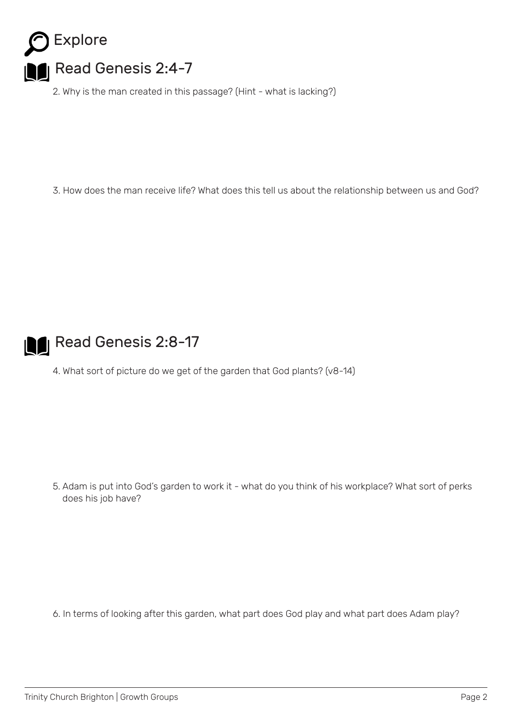

2. Why is the man created in this passage? (Hint - what is lacking?)

3. How does the man receive life? What does this tell us about the relationship between us and God?



### **Read Genesis 2:8-17**

4. What sort of picture do we get of the garden that God plants? (v8-14)

5. Adam is put into God's garden to work it - what do you think of his workplace? What sort of perks does his job have?

6. In terms of looking after this garden, what part does God play and what part does Adam play?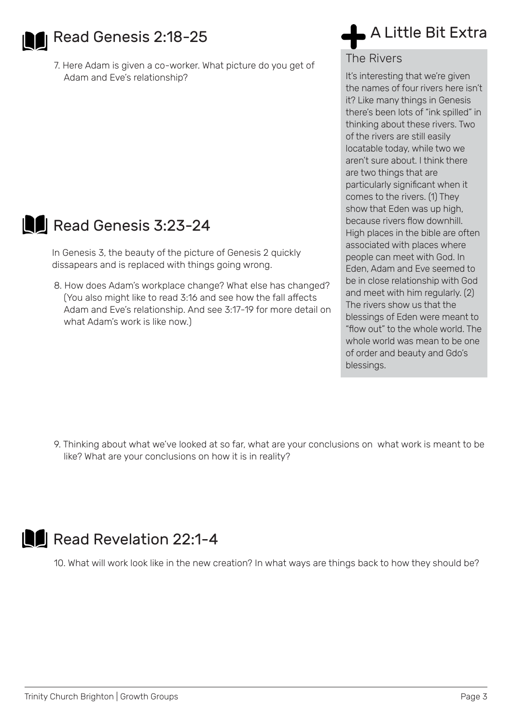

**Read Genesis 2:18-25** 

7. Here Adam is given a co-worker. What picture do you get of Adam and Eve's relationship?



### Read Genesis 3:23-24

In Genesis 3, the beauty of the picture of Genesis 2 quickly dissapears and is replaced with things going wrong.

8. How does Adam's workplace change? What else has changed? (You also might like to read 3:16 and see how the fall affects Adam and Eve's relationship. And see 3:17-19 for more detail on what Adam's work is like now.)

## A Little Bit Extra

The Rivers

It's interesting that we're given the names of four rivers here isn't it? Like many things in Genesis there's been lots of "ink spilled" in thinking about these rivers. Two of the rivers are still easily locatable today, while two we aren't sure about. I think there are two things that are particularly significant when it comes to the rivers. (1) They show that Eden was up high, because rivers flow downhill. High places in the bible are often associated with places where people can meet with God. In Eden, Adam and Eve seemed to be in close relationship with God and meet with him regularly. (2) The rivers show us that the blessings of Eden were meant to "flow out" to the whole world. The whole world was mean to be one of order and beauty and Gdo's blessings.

9. Thinking about what we've looked at so far, what are your conclusions on what work is meant to be like? What are your conclusions on how it is in reality?



10. What will work look like in the new creation? In what ways are things back to how they should be?